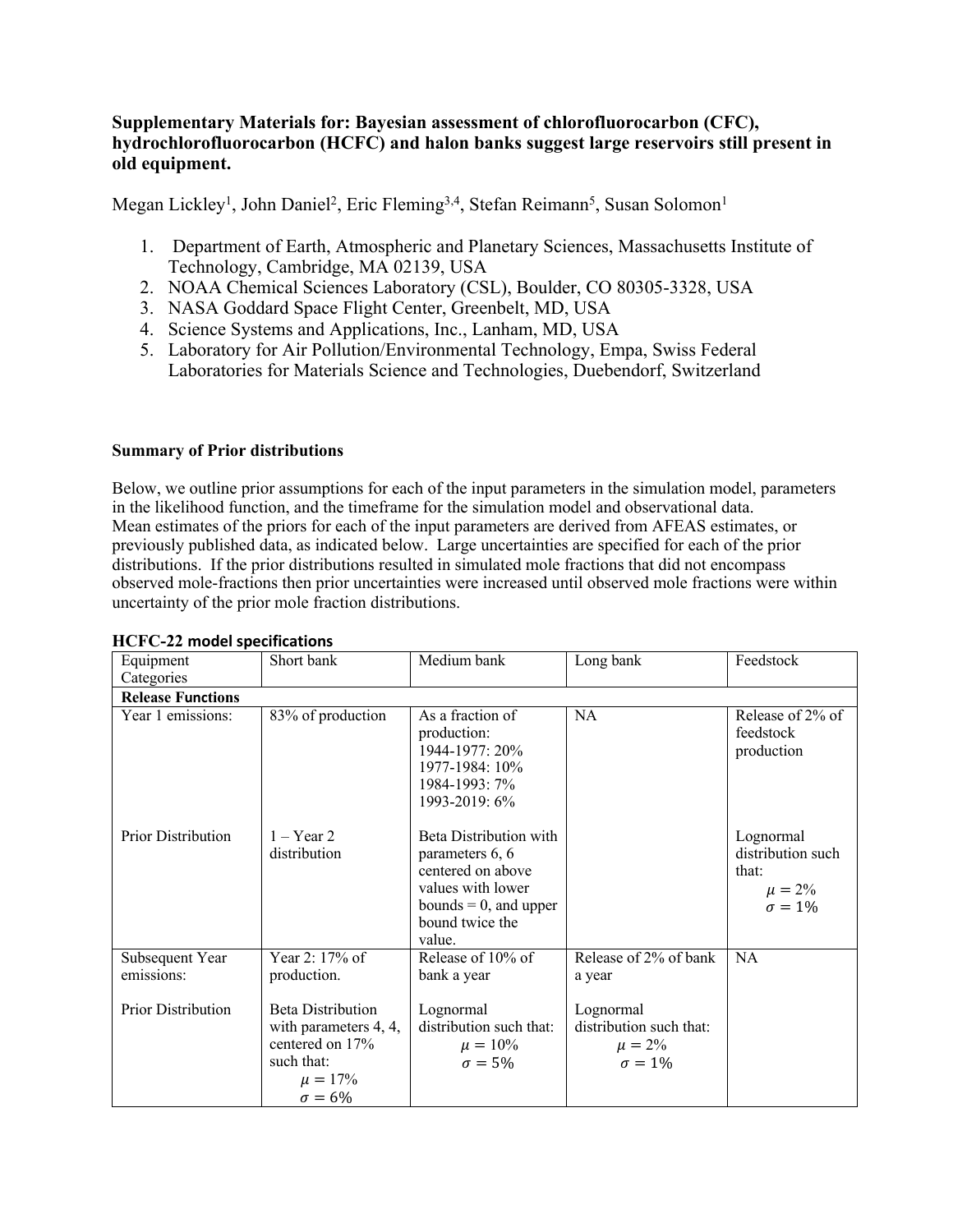# **Supplementary Materials for: Bayesian assessment of chlorofluorocarbon (CFC), hydrochlorofluorocarbon (HCFC) and halon banks suggest large reservoirs still present in old equipment.**

Megan Lickley<sup>1</sup>, John Daniel<sup>2</sup>, Eric Fleming<sup>3,4</sup>, Stefan Reimann<sup>5</sup>, Susan Solomon<sup>1</sup>

- 1. Department of Earth, Atmospheric and Planetary Sciences, Massachusetts Institute of Technology, Cambridge, MA 02139, USA
- 2. NOAA Chemical Sciences Laboratory (CSL), Boulder, CO 80305-3328, USA
- 3. NASA Goddard Space Flight Center, Greenbelt, MD, USA
- 4. Science Systems and Applications, Inc., Lanham, MD, USA
- 5. Laboratory for Air Pollution/Environmental Technology, Empa, Swiss Federal Laboratories for Materials Science and Technologies, Duebendorf, Switzerland

## **Summary of Prior distributions**

Below, we outline prior assumptions for each of the input parameters in the simulation model, parameters in the likelihood function, and the timeframe for the simulation model and observational data. Mean estimates of the priors for each of the input parameters are derived from AFEAS estimates, or previously published data, as indicated below. Large uncertainties are specified for each of the prior distributions. If the prior distributions resulted in simulated mole fractions that did not encompass observed mole-fractions then prior uncertainties were increased until observed mole fractions were within uncertainty of the prior mole fraction distributions.

| Equipment                     | Short bank                                                                                                         | Medium bank                                                                                                                                  | Long bank                                                             | Feedstock                                                                |
|-------------------------------|--------------------------------------------------------------------------------------------------------------------|----------------------------------------------------------------------------------------------------------------------------------------------|-----------------------------------------------------------------------|--------------------------------------------------------------------------|
| Categories                    |                                                                                                                    |                                                                                                                                              |                                                                       |                                                                          |
| <b>Release Functions</b>      |                                                                                                                    |                                                                                                                                              |                                                                       |                                                                          |
| Year 1 emissions:             | 83% of production                                                                                                  | As a fraction of<br>production:<br>1944-1977: 20%<br>1977-1984: 10%<br>1984-1993: 7%<br>1993-2019: 6%                                        | <b>NA</b>                                                             | Release of 2% of<br>feedstock<br>production                              |
| <b>Prior Distribution</b>     | $1 - Year$ 2<br>distribution                                                                                       | Beta Distribution with<br>parameters 6, 6<br>centered on above<br>values with lower<br>bounds $= 0$ , and upper<br>bound twice the<br>value. |                                                                       | Lognormal<br>distribution such<br>that:<br>$\mu = 2\%$<br>$\sigma = 1\%$ |
| Subsequent Year<br>emissions: | Year 2: 17% of<br>production.                                                                                      | Release of 10% of<br>bank a year                                                                                                             | Release of 2% of bank<br>a year                                       | NA                                                                       |
| Prior Distribution            | <b>Beta Distribution</b><br>with parameters 4, 4,<br>centered on 17%<br>such that:<br>$\mu = 17\%$<br>$\sigma=6\%$ | Lognormal<br>distribution such that:<br>$\mu = 10\%$<br>$\sigma = 5\%$                                                                       | Lognormal<br>distribution such that:<br>$\mu = 2\%$<br>$\sigma = 1\%$ |                                                                          |

### **HCFC-22 model specifications**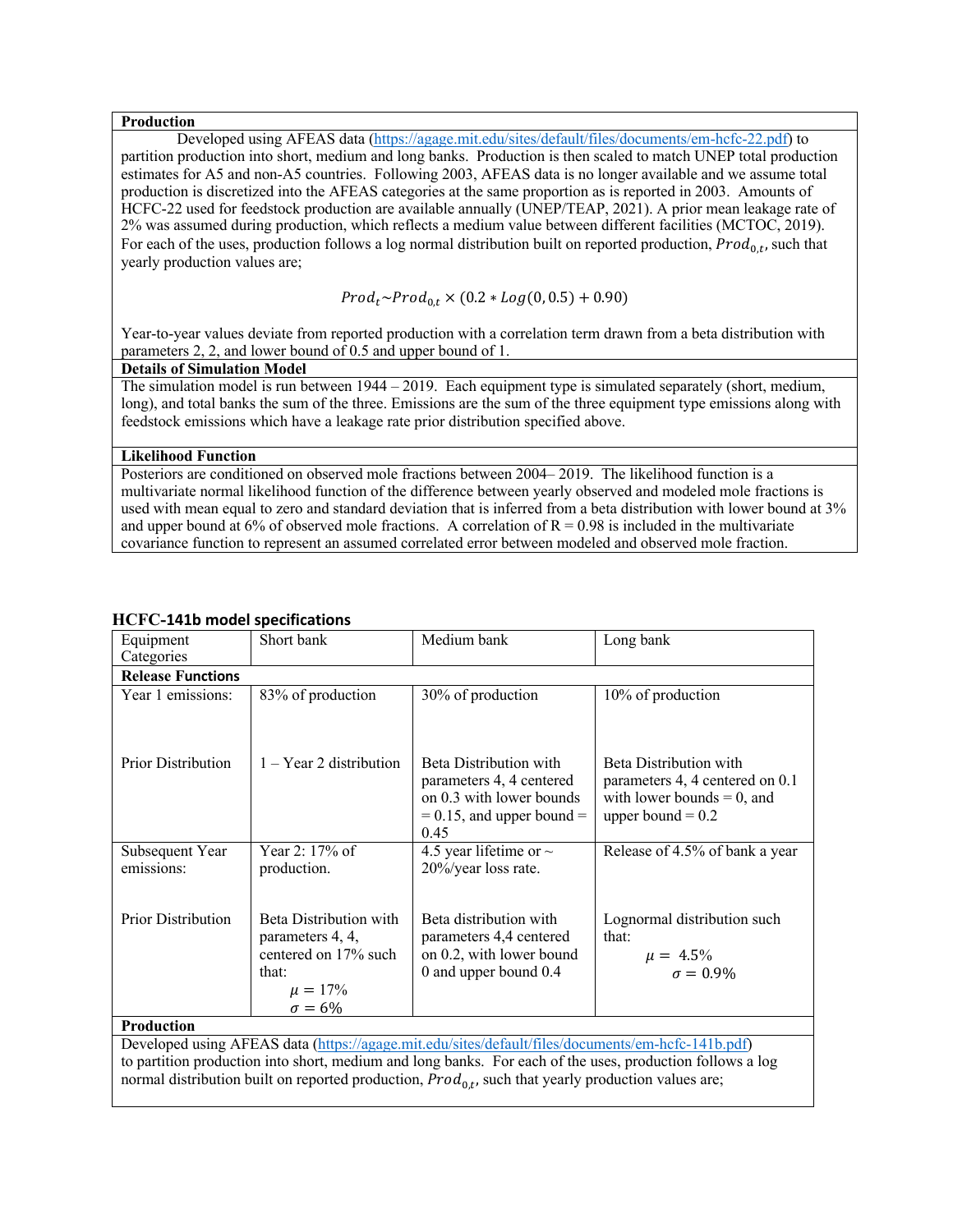#### **Production**

Developed using AFEAS data (https://agage.mit.edu/sites/default/files/documents/em-hcfc-22.pdf) to partition production into short, medium and long banks. Production is then scaled to match UNEP total production estimates for A5 and non-A5 countries. Following 2003, AFEAS data is no longer available and we assume total production is discretized into the AFEAS categories at the same proportion as is reported in 2003. Amounts of HCFC-22 used for feedstock production are available annually (UNEP/TEAP, 2021). A prior mean leakage rate of 2% was assumed during production, which reflects a medium value between different facilities (MCTOC, 2019). For each of the uses, production follows a log normal distribution built on reported production,  $Prod_{0,t}$ , such that yearly production values are;

$$
Prod_t \sim Prod_{0,t} \times (0.2 * Log(0,0.5) + 0.90)
$$

Year-to-year values deviate from reported production with a correlation term drawn from a beta distribution with parameters 2, 2, and lower bound of 0.5 and upper bound of 1.

#### **Details of Simulation Model**

The simulation model is run between 1944 – 2019. Each equipment type is simulated separately (short, medium, long), and total banks the sum of the three. Emissions are the sum of the three equipment type emissions along with feedstock emissions which have a leakage rate prior distribution specified above.

**Likelihood Function**

Posteriors are conditioned on observed mole fractions between 2004– 2019. The likelihood function is a multivariate normal likelihood function of the difference between yearly observed and modeled mole fractions is used with mean equal to zero and standard deviation that is inferred from a beta distribution with lower bound at 3% and upper bound at 6% of observed mole fractions. A correlation of  $R = 0.98$  is included in the multivariate covariance function to represent an assumed correlated error between modeled and observed mole fraction.

| Equipment<br>Categories       | Short bank                                                                                                    | Medium bank                                                                                                              | Long bank                                                                                                         |
|-------------------------------|---------------------------------------------------------------------------------------------------------------|--------------------------------------------------------------------------------------------------------------------------|-------------------------------------------------------------------------------------------------------------------|
| <b>Release Functions</b>      |                                                                                                               |                                                                                                                          |                                                                                                                   |
| Year 1 emissions:             | 83% of production                                                                                             | 30% of production                                                                                                        | 10% of production                                                                                                 |
| <b>Prior Distribution</b>     | $1 - Year$ 2 distribution                                                                                     | Beta Distribution with<br>parameters 4, 4 centered<br>on 0.3 with lower bounds<br>$= 0.15$ , and upper bound $=$<br>0.45 | Beta Distribution with<br>parameters 4, 4 centered on 0.1<br>with lower bounds $= 0$ , and<br>upper bound $= 0.2$ |
| Subsequent Year<br>emissions: | Year 2: 17% of<br>production.                                                                                 | 4.5 year lifetime or $\sim$<br>$20\%$ /year loss rate.                                                                   | Release of 4.5% of bank a year                                                                                    |
| <b>Prior Distribution</b>     | Beta Distribution with<br>parameters 4, 4,<br>centered on 17% such<br>that:<br>$\mu = 17\%$<br>$\sigma = 6\%$ | Beta distribution with<br>parameters 4,4 centered<br>on 0.2, with lower bound<br>0 and upper bound 0.4                   | Lognormal distribution such<br>that:<br>$\mu = 4.5\%$<br>$\sigma = 0.9\%$                                         |
| <b>Production</b>             |                                                                                                               |                                                                                                                          |                                                                                                                   |
|                               |                                                                                                               | Developed using AFEAS data (https://agage.mit.edu/sites/default/files/documents/em-hcfc-141b.pdf)                        |                                                                                                                   |

### **HCFC-141b model specifications**

Developed using AFEAS data (https://agage.mit.edu/sites/default/files/documents/em-hcfc-141b.pdf) to partition production into short, medium and long banks. For each of the uses, production follows a log normal distribution built on reported production,  $Prod_{0,t}$ , such that yearly production values are;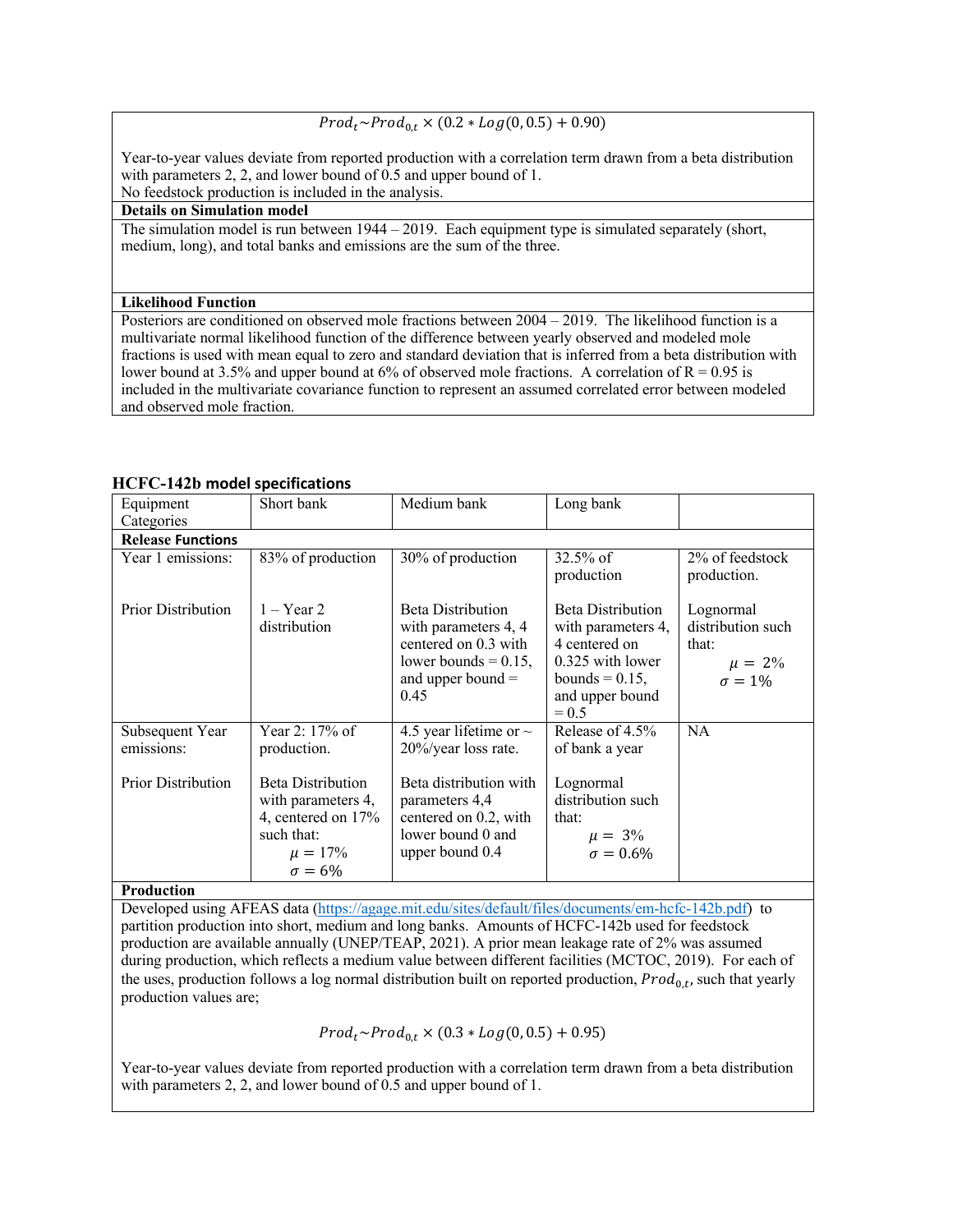# $\frac{prod_t \sim Prod_{0,t} \times (0.2 * Log(0, 0.5) + 0.90)}{P_{0,t} \times (0.2 * Log(0, 0.5)) + (0.90)}$

Year-to-year values deviate from reported production with a correlation term drawn from a beta distribution with parameters 2, 2, and lower bound of 0.5 and upper bound of 1. No feedstock production is included in the analysis.

**Details on Simulation model** 

The simulation model is run between 1944 – 2019. Each equipment type is simulated separately (short, medium, long), and total banks and emissions are the sum of the three.

#### **Likelihood Function**

Posteriors are conditioned on observed mole fractions between 2004 – 2019. The likelihood function is a multivariate normal likelihood function of the difference between yearly observed and modeled mole fractions is used with mean equal to zero and standard deviation that is inferred from a beta distribution with lower bound at 3.5% and upper bound at 6% of observed mole fractions. A correlation of  $R = 0.95$  is included in the multivariate covariance function to represent an assumed correlated error between modeled and observed mole fraction.

| $HCFC-1420$ model specifications |                                                                                                                      |                                                                                                                                    |                                                                                                                                 |                                                                          |
|----------------------------------|----------------------------------------------------------------------------------------------------------------------|------------------------------------------------------------------------------------------------------------------------------------|---------------------------------------------------------------------------------------------------------------------------------|--------------------------------------------------------------------------|
| Equipment                        | Short bank                                                                                                           | Medium bank                                                                                                                        | Long bank                                                                                                                       |                                                                          |
| Categories                       |                                                                                                                      |                                                                                                                                    |                                                                                                                                 |                                                                          |
| <b>Release Functions</b>         |                                                                                                                      |                                                                                                                                    |                                                                                                                                 |                                                                          |
| Year 1 emissions:                | 83% of production                                                                                                    | 30% of production                                                                                                                  | $32.5%$ of<br>production                                                                                                        | 2% of feedstock<br>production.                                           |
| <b>Prior Distribution</b>        | $1 - Year$ 2<br>distribution                                                                                         | <b>Beta Distribution</b><br>with parameters 4, 4<br>centered on 0.3 with<br>lower bounds = $0.15$ ,<br>and upper bound $=$<br>0.45 | Beta Distribution<br>with parameters 4,<br>4 centered on<br>0.325 with lower<br>bounds = $0.15$ ,<br>and upper bound<br>$= 0.5$ | Lognormal<br>distribution such<br>that:<br>$\mu = 2\%$<br>$\sigma = 1\%$ |
| Subsequent Year<br>emissions:    | Year 2: 17% of<br>production.                                                                                        | 4.5 year lifetime or $\sim$<br>20%/year loss rate.                                                                                 | Release of 4.5%<br>of bank a year                                                                                               | <b>NA</b>                                                                |
| <b>Prior Distribution</b>        | <b>Beta Distribution</b><br>with parameters 4,<br>4, centered on 17%<br>such that:<br>$\mu = 17\%$<br>$\sigma = 6\%$ | Beta distribution with<br>parameters 4,4<br>centered on 0.2, with<br>lower bound 0 and<br>upper bound 0.4                          | Lognormal<br>distribution such<br>that:<br>$\mu = 3\%$<br>$\sigma = 0.6\%$                                                      |                                                                          |
| Production                       |                                                                                                                      |                                                                                                                                    |                                                                                                                                 |                                                                          |

### **HCFC-142b model specifications**

Developed using AFEAS data (https://agage.mit.edu/sites/default/files/documents/em-hcfc-142b.pdf) to partition production into short, medium and long banks. Amounts of HCFC-142b used for feedstock production are available annually (UNEP/TEAP, 2021). A prior mean leakage rate of 2% was assumed during production, which reflects a medium value between different facilities (MCTOC, 2019). For each of the uses, production follows a log normal distribution built on reported production,  $Prod_{0,t}$ , such that yearly production values are;

 $Prod_t \sim Prod_{0,t} \times (0.3 * Log(0, 0.5) + 0.95)$ 

Year-to-year values deviate from reported production with a correlation term drawn from a beta distribution with parameters 2, 2, and lower bound of 0.5 and upper bound of 1.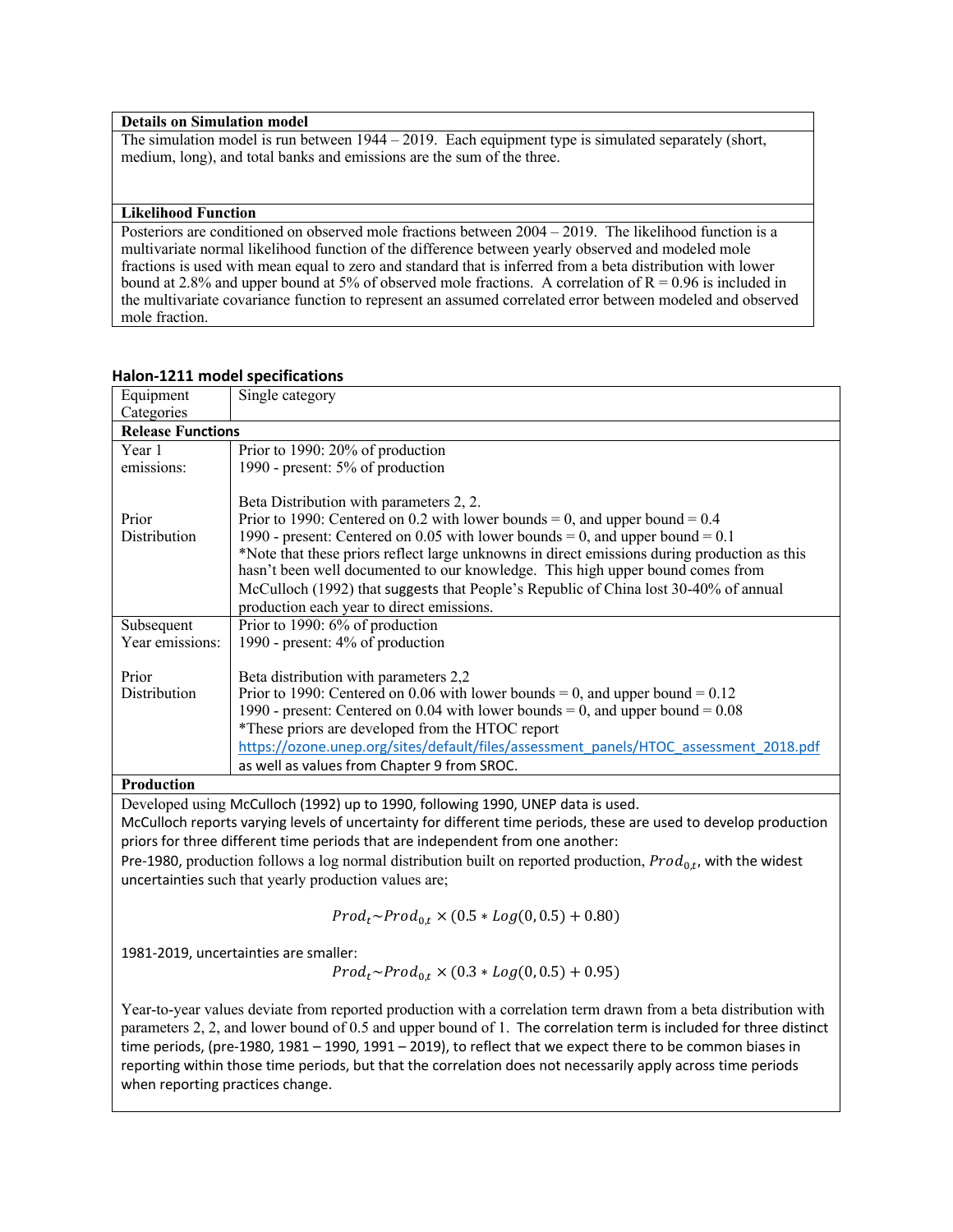#### **Details on Simulation model**

The simulation model is run between 1944 – 2019. Each equipment type is simulated separately (short, medium, long), and total banks and emissions are the sum of the three.

#### **Likelihood Function**

Posteriors are conditioned on observed mole fractions between 2004 – 2019. The likelihood function is a multivariate normal likelihood function of the difference between yearly observed and modeled mole fractions is used with mean equal to zero and standard that is inferred from a beta distribution with lower bound at 2.8% and upper bound at 5% of observed mole fractions. A correlation of  $R = 0.96$  is included in the multivariate covariance function to represent an assumed correlated error between modeled and observed mole fraction.

| Equipment                | Single category                                                                                                                                                                                                                                                                                                                                           |
|--------------------------|-----------------------------------------------------------------------------------------------------------------------------------------------------------------------------------------------------------------------------------------------------------------------------------------------------------------------------------------------------------|
| Categories               |                                                                                                                                                                                                                                                                                                                                                           |
| <b>Release Functions</b> |                                                                                                                                                                                                                                                                                                                                                           |
| Year 1                   | Prior to 1990: 20% of production                                                                                                                                                                                                                                                                                                                          |
| emissions:               | 1990 - present: 5% of production                                                                                                                                                                                                                                                                                                                          |
| Prior<br>Distribution    | Beta Distribution with parameters 2, 2.<br>Prior to 1990: Centered on 0.2 with lower bounds = 0, and upper bound = $0.4$<br>1990 - present: Centered on 0.05 with lower bounds = 0, and upper bound = $0.1$<br>*Note that these priors reflect large unknowns in direct emissions during production as this                                               |
|                          | hasn't been well documented to our knowledge. This high upper bound comes from                                                                                                                                                                                                                                                                            |
|                          | McCulloch (1992) that suggests that People's Republic of China lost 30-40% of annual                                                                                                                                                                                                                                                                      |
|                          | production each year to direct emissions.                                                                                                                                                                                                                                                                                                                 |
| Subsequent               | Prior to 1990: 6% of production                                                                                                                                                                                                                                                                                                                           |
| Year emissions:          | 1990 - present: 4% of production                                                                                                                                                                                                                                                                                                                          |
| Prior<br>Distribution    | Beta distribution with parameters 2,2<br>Prior to 1990: Centered on 0.06 with lower bounds = 0, and upper bound = $0.12$<br>1990 - present: Centered on 0.04 with lower bounds = 0, and upper bound = $0.08$<br>*These priors are developed from the HTOC report<br>https://ozone.unep.org/sites/default/files/assessment_panels/HTOC_assessment_2018.pdf |
|                          | as well as values from Chapter 9 from SROC.                                                                                                                                                                                                                                                                                                               |
| Production               |                                                                                                                                                                                                                                                                                                                                                           |
|                          | Developed using McCulloch (1992) up to 1990, following 1990, UNEP data is used.                                                                                                                                                                                                                                                                           |
|                          | McCulloch reports varying levels of uncertainty for different time periods, these are used to develop production                                                                                                                                                                                                                                          |
|                          |                                                                                                                                                                                                                                                                                                                                                           |

#### **Halon-1211 model specifications**

priors for three different time periods that are independent from one another: Pre-1980, production follows a log normal distribution built on reported production,  $Prod_{0,t}$ , with the widest uncertainties such that yearly production values are;

 $Prod_t \sim Prod_{0,t} \times (0.5 * Log(0, 0.5) + 0.80)$ 

1981-2019, uncertainties are smaller:

 $Prod_t \sim Prod_{0,t} \times (0.3 * Log(0, 0.5) + 0.95)$ 

Year-to-year values deviate from reported production with a correlation term drawn from a beta distribution with parameters 2, 2, and lower bound of 0.5 and upper bound of 1. The correlation term is included for three distinct time periods, (pre-1980, 1981 – 1990, 1991 – 2019), to reflect that we expect there to be common biases in reporting within those time periods, but that the correlation does not necessarily apply across time periods when reporting practices change.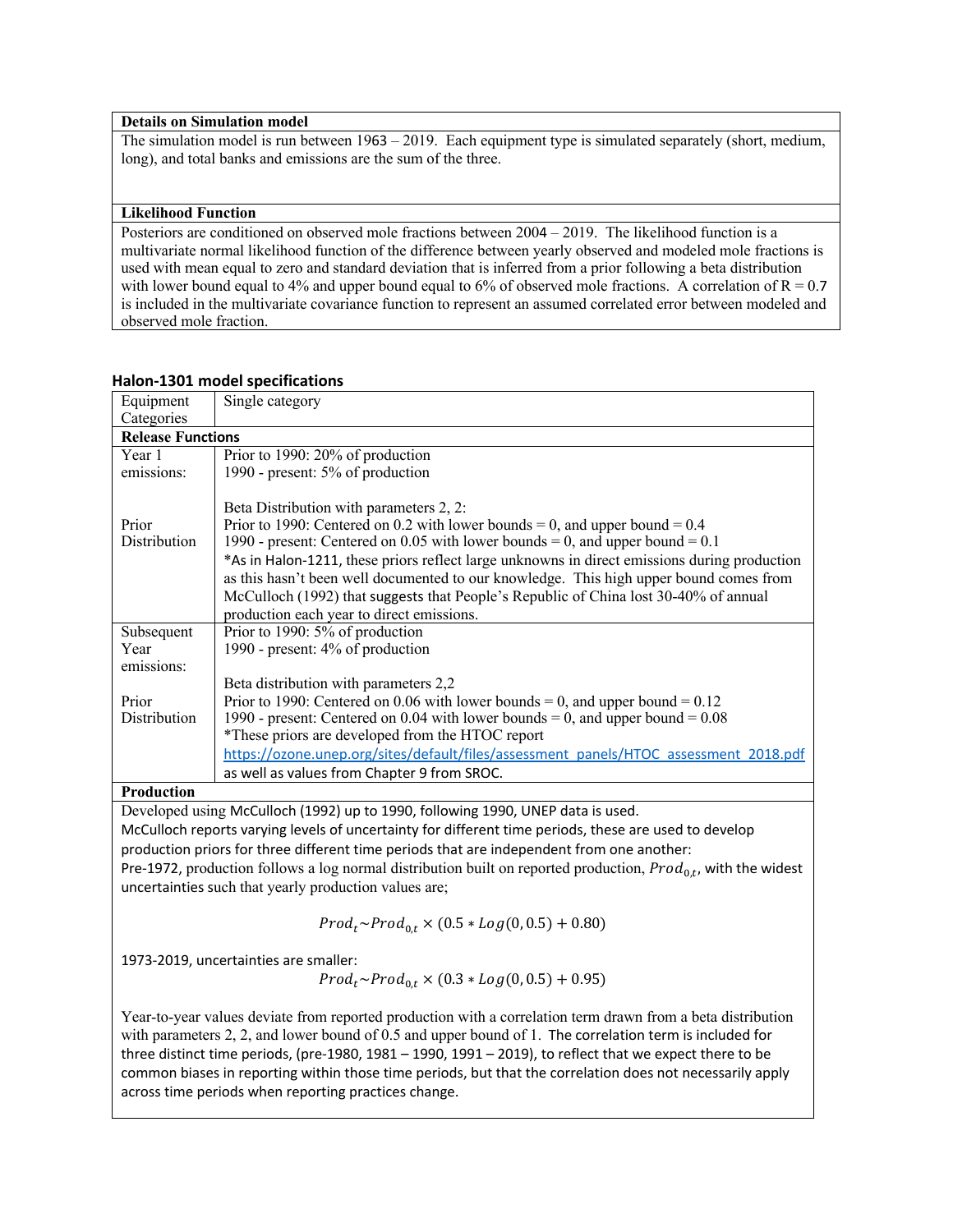#### **Details on Simulation model**

The simulation model is run between 1963 – 2019. Each equipment type is simulated separately (short, medium, long), and total banks and emissions are the sum of the three.

#### **Likelihood Function**

Posteriors are conditioned on observed mole fractions between 2004 – 2019. The likelihood function is a multivariate normal likelihood function of the difference between yearly observed and modeled mole fractions is used with mean equal to zero and standard deviation that is inferred from a prior following a beta distribution with lower bound equal to 4% and upper bound equal to 6% of observed mole fractions. A correlation of  $R = 0.7$ is included in the multivariate covariance function to represent an assumed correlated error between modeled and observed mole fraction.

| Equipment                | Single category                                                                                                                                                                                                                                                                                                                                                                                                                                                                               |
|--------------------------|-----------------------------------------------------------------------------------------------------------------------------------------------------------------------------------------------------------------------------------------------------------------------------------------------------------------------------------------------------------------------------------------------------------------------------------------------------------------------------------------------|
| Categories               |                                                                                                                                                                                                                                                                                                                                                                                                                                                                                               |
| <b>Release Functions</b> |                                                                                                                                                                                                                                                                                                                                                                                                                                                                                               |
| Year 1                   | Prior to 1990: 20% of production                                                                                                                                                                                                                                                                                                                                                                                                                                                              |
| emissions:               | 1990 - present: 5% of production                                                                                                                                                                                                                                                                                                                                                                                                                                                              |
| Prior<br>Distribution    | Beta Distribution with parameters 2, 2:<br>Prior to 1990: Centered on 0.2 with lower bounds = 0, and upper bound = $0.4$<br>1990 - present: Centered on 0.05 with lower bounds = 0, and upper bound = $0.1$<br>*As in Halon-1211, these priors reflect large unknowns in direct emissions during production<br>as this hasn't been well documented to our knowledge. This high upper bound comes from<br>McCulloch (1992) that suggests that People's Republic of China lost 30-40% of annual |
|                          | production each year to direct emissions.                                                                                                                                                                                                                                                                                                                                                                                                                                                     |
| Subsequent               | Prior to 1990: 5% of production                                                                                                                                                                                                                                                                                                                                                                                                                                                               |
| Year                     | 1990 - present: 4% of production                                                                                                                                                                                                                                                                                                                                                                                                                                                              |
| emissions:               |                                                                                                                                                                                                                                                                                                                                                                                                                                                                                               |
|                          | Beta distribution with parameters 2,2                                                                                                                                                                                                                                                                                                                                                                                                                                                         |
| Prior                    | Prior to 1990: Centered on 0.06 with lower bounds = 0, and upper bound = $0.12$                                                                                                                                                                                                                                                                                                                                                                                                               |
| Distribution             | 1990 - present: Centered on 0.04 with lower bounds = 0, and upper bound = $0.08$                                                                                                                                                                                                                                                                                                                                                                                                              |
|                          | *These priors are developed from the HTOC report                                                                                                                                                                                                                                                                                                                                                                                                                                              |
|                          | https://ozone.unep.org/sites/default/files/assessment_panels/HTOC_assessment_2018.pdf                                                                                                                                                                                                                                                                                                                                                                                                         |
|                          | as well as values from Chapter 9 from SROC.                                                                                                                                                                                                                                                                                                                                                                                                                                                   |
| Production               |                                                                                                                                                                                                                                                                                                                                                                                                                                                                                               |
|                          | Daveland using McCulloch (1003) up to 1000 following 1000 UNED data is used                                                                                                                                                                                                                                                                                                                                                                                                                   |

#### **Halon-1301 model specifications**

Developed using McCulloch (1992) up to 1990, following 1990, UNEP data is used. McCulloch reports varying levels of uncertainty for different time periods, these are used to develop production priors for three different time periods that are independent from one another: Pre-1972, production follows a log normal distribution built on reported production,  $Prod_{0,t}$ , with the widest uncertainties such that yearly production values are;

 $Prod_t \sim Prod_{0,t} \times (0.5 * Log(0, 0.5) + 0.80)$ 

1973-2019, uncertainties are smaller:

 $Prod_t \sim Prod_{0,t} \times (0.3 * Log(0, 0.5) + 0.95)$ 

Year-to-year values deviate from reported production with a correlation term drawn from a beta distribution with parameters 2, 2, and lower bound of 0.5 and upper bound of 1. The correlation term is included for three distinct time periods, (pre-1980, 1981 – 1990, 1991 – 2019), to reflect that we expect there to be common biases in reporting within those time periods, but that the correlation does not necessarily apply across time periods when reporting practices change.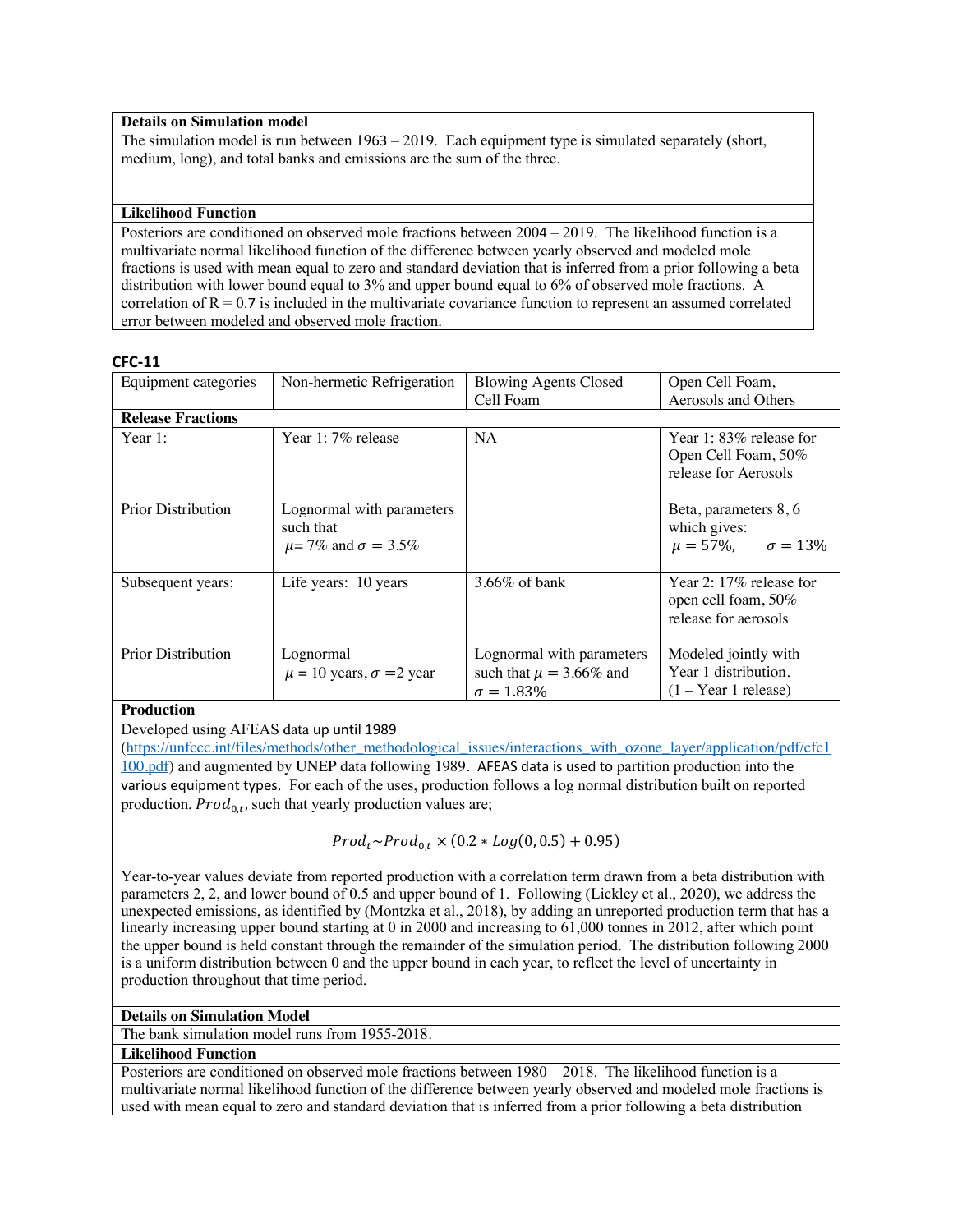#### **Details on Simulation model**

The simulation model is run between 1963 – 2019. Each equipment type is simulated separately (short, medium, long), and total banks and emissions are the sum of the three.

#### **Likelihood Function**

Posteriors are conditioned on observed mole fractions between 2004 – 2019. The likelihood function is a multivariate normal likelihood function of the difference between yearly observed and modeled mole fractions is used with mean equal to zero and standard deviation that is inferred from a prior following a beta distribution with lower bound equal to 3% and upper bound equal to 6% of observed mole fractions. A correlation of  $R = 0.7$  is included in the multivariate covariance function to represent an assumed correlated error between modeled and observed mole fraction.

#### **CFC-11**

| Equipment categories      | Non-hermetic Refrigeration                                               | <b>Blowing Agents Closed</b>                                                   | Open Cell Foam,                                                           |
|---------------------------|--------------------------------------------------------------------------|--------------------------------------------------------------------------------|---------------------------------------------------------------------------|
|                           |                                                                          | Cell Foam                                                                      | Aerosols and Others                                                       |
| <b>Release Fractions</b>  |                                                                          |                                                                                |                                                                           |
| Year 1:                   | Year 1:7% release                                                        | <b>NA</b>                                                                      | Year 1: $83\%$ release for<br>Open Cell Foam, 50%<br>release for Aerosols |
| <b>Prior Distribution</b> | Lognormal with parameters<br>such that<br>$\mu$ = 7% and $\sigma$ = 3.5% |                                                                                | Beta, parameters 8, 6<br>which gives:<br>$\mu = 57\%$ , $\sigma = 13\%$   |
| Subsequent years:         | Life years: 10 years                                                     | $3.66\%$ of bank                                                               | Year 2: 17% release for<br>open cell foam, 50%<br>release for aerosols    |
| Prior Distribution        | Lognormal<br>$\mu = 10$ years, $\sigma = 2$ year                         | Lognormal with parameters<br>such that $\mu = 3.66\%$ and<br>$\sigma = 1.83\%$ | Modeled jointly with<br>Year 1 distribution.<br>$(1 - Year 1 release)$    |

#### **Production**

Developed using AFEAS data up until 1989

(https://unfccc.int/files/methods/other\_methodological\_issues/interactions\_with\_ozone\_layer/application/pdf/cfc1 100.pdf) and augmented by UNEP data following 1989. AFEAS data is used to partition production into the various equipment types. For each of the uses, production follows a log normal distribution built on reported production,  $Prod_{0,t}$ , such that yearly production values are;

$$
Prod_t \sim Prod_{0,t} \times (0.2 * Log(0,0.5) + 0.95)
$$

Year-to-year values deviate from reported production with a correlation term drawn from a beta distribution with parameters 2, 2, and lower bound of 0.5 and upper bound of 1. Following (Lickley et al., 2020), we address the unexpected emissions, as identified by (Montzka et al., 2018), by adding an unreported production term that has a linearly increasing upper bound starting at 0 in 2000 and increasing to 61,000 tonnes in 2012, after which point the upper bound is held constant through the remainder of the simulation period. The distribution following 2000 is a uniform distribution between 0 and the upper bound in each year, to reflect the level of uncertainty in production throughout that time period.

#### **Details on Simulation Model**

The bank simulation model runs from 1955-2018.

#### **Likelihood Function**

Posteriors are conditioned on observed mole fractions between 1980 – 2018. The likelihood function is a multivariate normal likelihood function of the difference between yearly observed and modeled mole fractions is used with mean equal to zero and standard deviation that is inferred from a prior following a beta distribution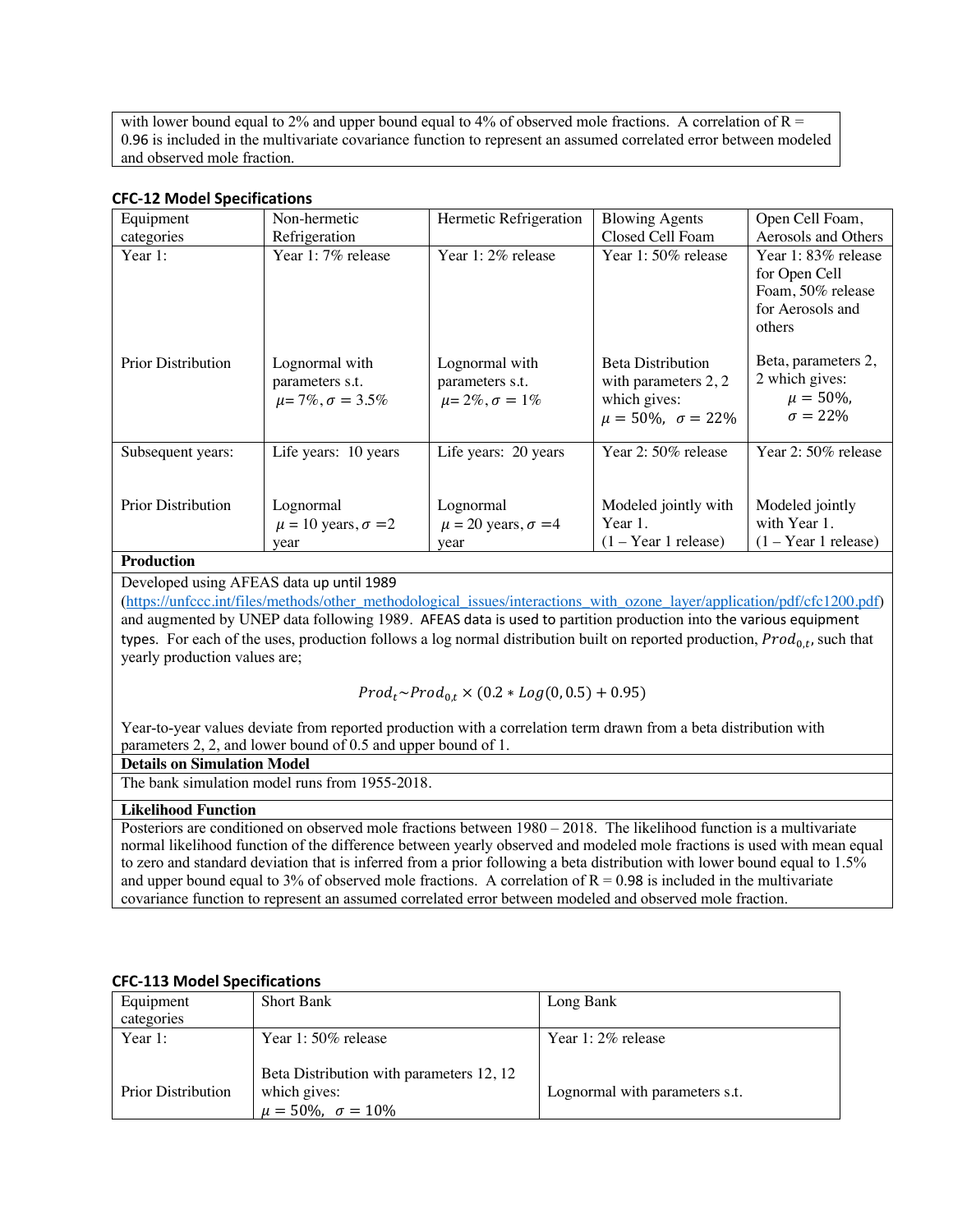with lower bound equal to 2% and upper bound equal to 4% of observed mole fractions. A correlation of  $R =$ 0.96 is included in the multivariate covariance function to represent an assumed correlated error between modeled and observed mole fraction.

| <b>CFC-12 Model Specifications</b> |  |
|------------------------------------|--|
|------------------------------------|--|

| Equipment                 | Non-hermetic                                                     | Hermetic Refrigeration                                         | <b>Blowing Agents</b>                                                                              | Open Cell Foam,                                                                        |
|---------------------------|------------------------------------------------------------------|----------------------------------------------------------------|----------------------------------------------------------------------------------------------------|----------------------------------------------------------------------------------------|
| categories                | Refrigeration                                                    |                                                                | Closed Cell Foam                                                                                   | Aerosols and Others                                                                    |
| Year $1$ :                | Year 1:7% release                                                | Year 1:2% release                                              | Year 1:50% release                                                                                 | Year 1:83% release<br>for Open Cell<br>Foam, 50% release<br>for Aerosols and<br>others |
| <b>Prior Distribution</b> | Lognormal with<br>parameters s.t.<br>$\mu = 7\%, \sigma = 3.5\%$ | Lognormal with<br>parameters s.t.<br>$\mu = 2\%, \sigma = 1\%$ | <b>Beta Distribution</b><br>with parameters 2, 2<br>which gives:<br>$\mu = 50\%$ , $\sigma = 22\%$ | Beta, parameters 2,<br>2 which gives:<br>$\mu = 50\%$ ,<br>$\sigma = 22\%$             |
| Subsequent years:         | Life years: 10 years                                             | Life years: 20 years                                           | Year 2: $50\%$ release                                                                             | Year 2: 50% release                                                                    |
| <b>Prior Distribution</b> | Lognormal<br>$\mu = 10$ years, $\sigma = 2$                      | Lognormal<br>$\mu$ = 20 years, $\sigma$ =4                     | Modeled jointly with<br>Year 1.                                                                    | Modeled jointly<br>with Year 1.                                                        |
|                           | year                                                             | year                                                           | $(1 - Year 1$ release)                                                                             | $(1 - Year 1$ release)                                                                 |

### **Production**

Developed using AFEAS data up until 1989

(https://unfccc.int/files/methods/other\_methodological\_issues/interactions\_with\_ozone\_layer/application/pdf/cfc1200.pdf) and augmented by UNEP data following 1989. AFEAS data is used to partition production into the various equipment types. For each of the uses, production follows a log normal distribution built on reported production,  $Prod_{0,t}$ , such that yearly production values are;

 $Prod_t \sim Prod_{0,t} \times (0.2 * Log(0, 0.5) + 0.95)$ 

Year-to-year values deviate from reported production with a correlation term drawn from a beta distribution with parameters 2, 2, and lower bound of 0.5 and upper bound of 1.

#### **Details on Simulation Model**

The bank simulation model runs from 1955-2018.

### **Likelihood Function**

Posteriors are conditioned on observed mole fractions between 1980 – 2018. The likelihood function is a multivariate normal likelihood function of the difference between yearly observed and modeled mole fractions is used with mean equal to zero and standard deviation that is inferred from a prior following a beta distribution with lower bound equal to 1.5% and upper bound equal to 3% of observed mole fractions. A correlation of  $R = 0.98$  is included in the multivariate covariance function to represent an assumed correlated error between modeled and observed mole fraction.

### **CFC-113 Model Specifications**

| Equipment                 | <b>Short Bank</b>                                                                          | Long Bank                      |
|---------------------------|--------------------------------------------------------------------------------------------|--------------------------------|
| categories                |                                                                                            |                                |
| Year $1$ :                | Year 1: $50\%$ release                                                                     | Year 1:2% release              |
|                           |                                                                                            |                                |
| <b>Prior Distribution</b> | Beta Distribution with parameters 12, 12<br>which gives:<br>$\mu = 50\%$ , $\sigma = 10\%$ | Lognormal with parameters s.t. |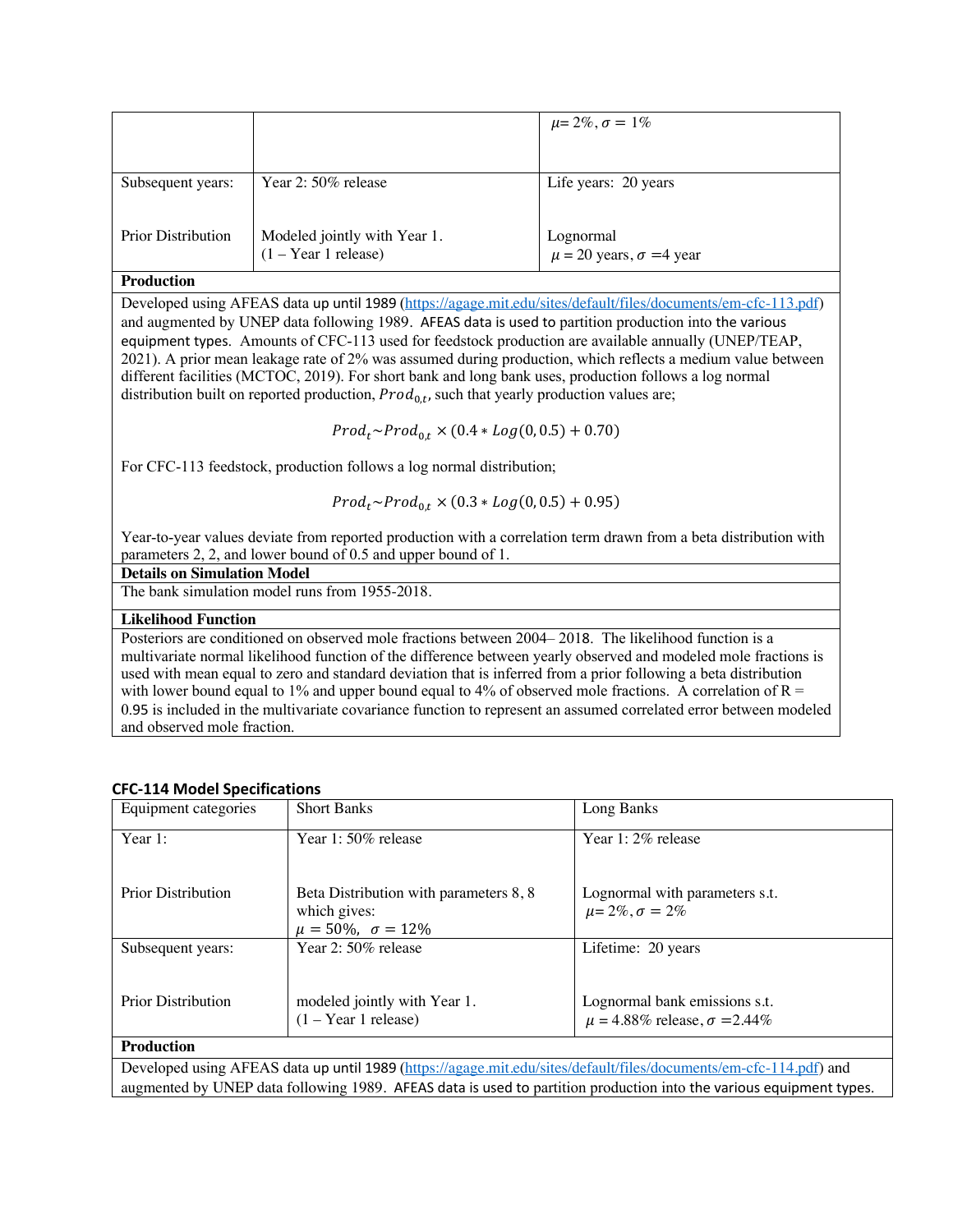|                           |                                                        | $\mu = 2\%, \sigma = 1\%$                       |
|---------------------------|--------------------------------------------------------|-------------------------------------------------|
| Subsequent years:         | Year 2: $50\%$ release                                 | Life years: 20 years                            |
| <b>Prior Distribution</b> | Modeled jointly with Year 1.<br>$(1 - Year 1 release)$ | Lognormal<br>$\mu$ = 20 years, $\sigma$ =4 year |

### **Production**

Developed using AFEAS data up until 1989 (https://agage.mit.edu/sites/default/files/documents/em-cfc-113.pdf) and augmented by UNEP data following 1989. AFEAS data is used to partition production into the various equipment types. Amounts of CFC-113 used for feedstock production are available annually (UNEP/TEAP, 2021). A prior mean leakage rate of 2% was assumed during production, which reflects a medium value between different facilities (MCTOC, 2019). For short bank and long bank uses, production follows a log normal distribution built on reported production,  $Prod_{0,t}$ , such that yearly production values are;

 $Prod_t \sim Prod_{0,t} \times (0.4 * Log(0, 0.5) + 0.70)$ 

For CFC-113 feedstock, production follows a log normal distribution;

 $Prod_t \sim Prod_{0,t} \times (0.3 * Log(0, 0.5) + 0.95)$ 

Year-to-year values deviate from reported production with a correlation term drawn from a beta distribution with parameters 2, 2, and lower bound of 0.5 and upper bound of 1.

**Details on Simulation Model**

The bank simulation model runs from 1955-2018.

**Likelihood Function**

Posteriors are conditioned on observed mole fractions between 2004– 2018. The likelihood function is a multivariate normal likelihood function of the difference between yearly observed and modeled mole fractions is used with mean equal to zero and standard deviation that is inferred from a prior following a beta distribution with lower bound equal to 1% and upper bound equal to 4% of observed mole fractions. A correlation of  $R =$ 0.95 is included in the multivariate covariance function to represent an assumed correlated error between modeled and observed mole fraction.

| Equipment categories                                                                                                | <b>Short Banks</b>                                                                       | Long Banks                                                                                                        |
|---------------------------------------------------------------------------------------------------------------------|------------------------------------------------------------------------------------------|-------------------------------------------------------------------------------------------------------------------|
| Year $1:$                                                                                                           | Year 1: 50% release                                                                      | Year 1: $2\%$ release                                                                                             |
| <b>Prior Distribution</b>                                                                                           | Beta Distribution with parameters 8, 8<br>which gives:<br>$\mu = 50\%$ , $\sigma = 12\%$ | Lognormal with parameters s.t.<br>$\mu = 2\%, \sigma = 2\%$                                                       |
| Subsequent years:                                                                                                   | Year 2: 50% release                                                                      | Lifetime: 20 years                                                                                                |
| <b>Prior Distribution</b>                                                                                           | modeled jointly with Year 1.<br>$(1 - Year 1$ release)                                   | Lognormal bank emissions s.t.<br>$\mu = 4.88\%$ release, $\sigma = 2.44\%$                                        |
| <b>Production</b>                                                                                                   |                                                                                          |                                                                                                                   |
|                                                                                                                     |                                                                                          | Developed using AFEAS data up until 1989 (https://agage.mit.edu/sites/default/files/documents/em-cfc-114.pdf) and |
| augmented by UNEP data following 1989. AFEAS data is used to partition production into the various equipment types. |                                                                                          |                                                                                                                   |

### **CFC-114 Model Specifications**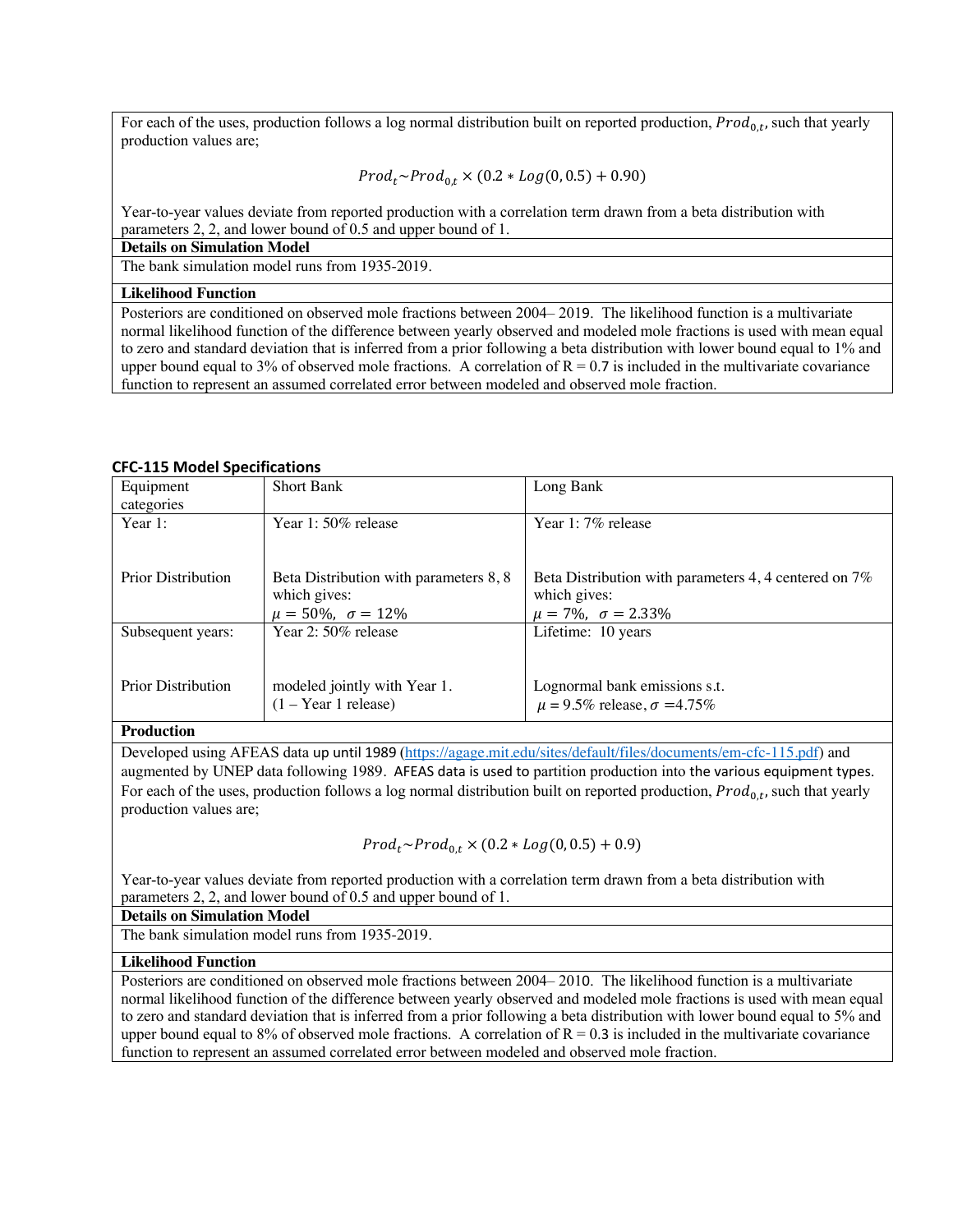For each of the uses, production follows a log normal distribution built on reported production,  $Prod_{0,t}$ , such that yearly production values are;

### $Prod_t \sim Prod_{0,t} \times (0.2 * Log(0, 0.5) + 0.90)$

Year-to-year values deviate from reported production with a correlation term drawn from a beta distribution with parameters 2, 2, and lower bound of 0.5 and upper bound of 1.

#### **Details on Simulation Model**

The bank simulation model runs from 1935-2019.

### **Likelihood Function**

Posteriors are conditioned on observed mole fractions between 2004– 2019. The likelihood function is a multivariate normal likelihood function of the difference between yearly observed and modeled mole fractions is used with mean equal to zero and standard deviation that is inferred from a prior following a beta distribution with lower bound equal to 1% and upper bound equal to 3% of observed mole fractions. A correlation of  $R = 0.7$  is included in the multivariate covariance function to represent an assumed correlated error between modeled and observed mole fraction.

#### **CFC-115 Model Specifications**

| Equipment                 | <b>Short Bank</b>                      | Long Bank                                             |
|---------------------------|----------------------------------------|-------------------------------------------------------|
| categories                |                                        |                                                       |
| Year $1$ :                | Year 1: 50% release                    | Year 1:7% release                                     |
|                           |                                        |                                                       |
| <b>Prior Distribution</b> | Beta Distribution with parameters 8, 8 | Beta Distribution with parameters 4, 4 centered on 7% |
|                           | which gives:                           | which gives:                                          |
|                           | $\mu = 50\%$ , $\sigma = 12\%$         | $\mu = 7\%, \sigma = 2.33\%$                          |
| Subsequent years:         | Year 2: 50% release                    | Lifetime: 10 years                                    |
|                           |                                        |                                                       |
| <b>Prior Distribution</b> | modeled jointly with Year 1.           | Lognormal bank emissions s.t.                         |
|                           | $(1 - Year 1 release)$                 | $\mu = 9.5\%$ release, $\sigma = 4.75\%$              |

#### **Production**

Developed using AFEAS data up until 1989 (https://agage.mit.edu/sites/default/files/documents/em-cfc-115.pdf) and augmented by UNEP data following 1989. AFEAS data is used to partition production into the various equipment types. For each of the uses, production follows a log normal distribution built on reported production,  $Prod_{0,t}$ , such that yearly production values are;

 $Prod_t \sim Prod_{0t} \times (0.2 * Log(0, 0.5) + 0.9)$ 

Year-to-year values deviate from reported production with a correlation term drawn from a beta distribution with parameters 2, 2, and lower bound of 0.5 and upper bound of 1.

#### **Details on Simulation Model**

The bank simulation model runs from 1935-2019.

#### **Likelihood Function**

Posteriors are conditioned on observed mole fractions between 2004– 2010. The likelihood function is a multivariate normal likelihood function of the difference between yearly observed and modeled mole fractions is used with mean equal to zero and standard deviation that is inferred from a prior following a beta distribution with lower bound equal to 5% and upper bound equal to 8% of observed mole fractions. A correlation of  $R = 0.3$  is included in the multivariate covariance function to represent an assumed correlated error between modeled and observed mole fraction.